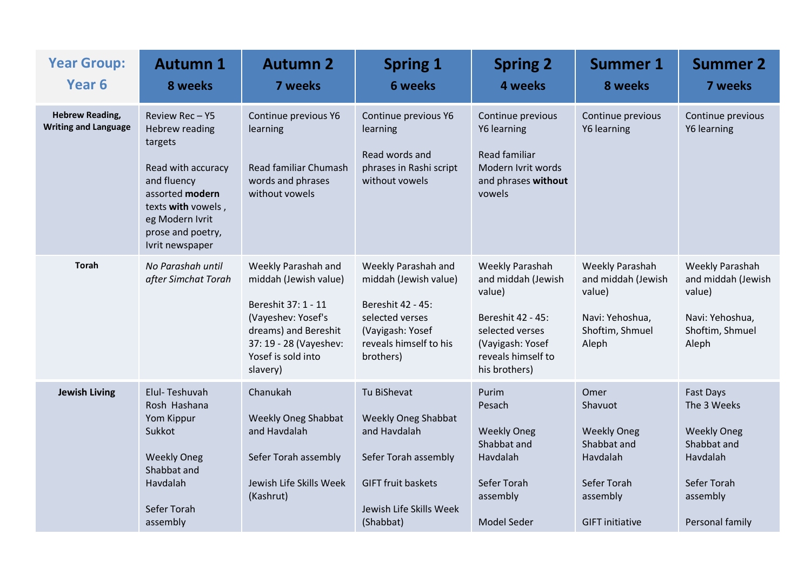| <b>Year Group:</b><br>Year <sub>6</sub>               | <b>Autumn 1</b><br>8 weeks                                                                                                                                                                 | <b>Autumn 2</b><br><b>7 weeks</b>                                                                                                                                             | <b>Spring 1</b><br><b>6 weeks</b>                                                                                                                      | <b>Spring 2</b><br>4 weeks                                                                                                                                | <b>Summer 1</b><br>8 weeks                                                                                            | <b>Summer 2</b><br>7 weeks                                                                                              |
|-------------------------------------------------------|--------------------------------------------------------------------------------------------------------------------------------------------------------------------------------------------|-------------------------------------------------------------------------------------------------------------------------------------------------------------------------------|--------------------------------------------------------------------------------------------------------------------------------------------------------|-----------------------------------------------------------------------------------------------------------------------------------------------------------|-----------------------------------------------------------------------------------------------------------------------|-------------------------------------------------------------------------------------------------------------------------|
| <b>Hebrew Reading,</b><br><b>Writing and Language</b> | Review Rec-Y5<br><b>Hebrew reading</b><br>targets<br>Read with accuracy<br>and fluency<br>assorted modern<br>texts with vowels,<br>eg Modern Ivrit<br>prose and poetry,<br>Ivrit newspaper | Continue previous Y6<br>learning<br>Read familiar Chumash<br>words and phrases<br>without vowels                                                                              | Continue previous Y6<br>learning<br>Read words and<br>phrases in Rashi script<br>without vowels                                                        | Continue previous<br>Y6 learning<br>Read familiar<br>Modern Ivrit words<br>and phrases without<br>vowels                                                  | Continue previous<br>Y6 learning                                                                                      | Continue previous<br>Y6 learning                                                                                        |
| <b>Torah</b>                                          | No Parashah until<br>after Simchat Torah                                                                                                                                                   | Weekly Parashah and<br>middah (Jewish value)<br>Bereshit 37: 1 - 11<br>(Vayeshev: Yosef's<br>dreams) and Bereshit<br>37: 19 - 28 (Vayeshev:<br>Yosef is sold into<br>slavery) | Weekly Parashah and<br>middah (Jewish value)<br>Bereshit 42 - 45:<br>selected verses<br>(Vayigash: Yosef<br>reveals himself to his<br>brothers)        | <b>Weekly Parashah</b><br>and middah (Jewish<br>value)<br>Bereshit 42 - 45:<br>selected verses<br>(Vayigash: Yosef<br>reveals himself to<br>his brothers) | <b>Weekly Parashah</b><br>and middah (Jewish<br>value)<br>Navi: Yehoshua,<br>Shoftim, Shmuel<br>Aleph                 | Weekly Parashah<br>and middah (Jewish<br>value)<br>Navi: Yehoshua,<br>Shoftim, Shmuel<br>Aleph                          |
| <b>Jewish Living</b>                                  | Elul-Teshuvah<br>Rosh Hashana<br>Yom Kippur<br>Sukkot<br><b>Weekly Oneg</b><br>Shabbat and<br>Havdalah<br>Sefer Torah<br>assembly                                                          | Chanukah<br><b>Weekly Oneg Shabbat</b><br>and Havdalah<br>Sefer Torah assembly<br>Jewish Life Skills Week<br>(Kashrut)                                                        | Tu BiShevat<br><b>Weekly Oneg Shabbat</b><br>and Havdalah<br>Sefer Torah assembly<br><b>GIFT fruit baskets</b><br>Jewish Life Skills Week<br>(Shabbat) | Purim<br>Pesach<br><b>Weekly Oneg</b><br>Shabbat and<br>Havdalah<br>Sefer Torah<br>assembly<br><b>Model Seder</b>                                         | Omer<br>Shavuot<br><b>Weekly Oneg</b><br>Shabbat and<br>Havdalah<br>Sefer Torah<br>assembly<br><b>GIFT</b> initiative | Fast Days<br>The 3 Weeks<br><b>Weekly Oneg</b><br>Shabbat and<br>Havdalah<br>Sefer Torah<br>assembly<br>Personal family |